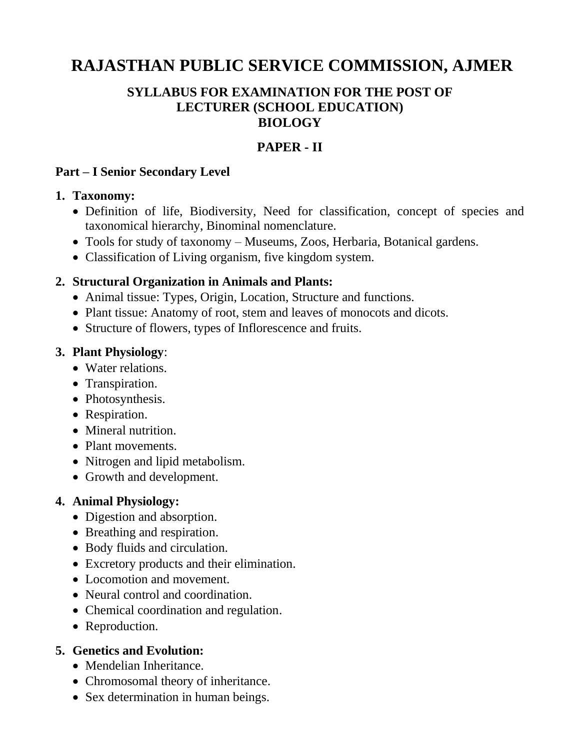# **RAJASTHAN PUBLIC SERVICE COMMISSION, AJMER**

## **SYLLABUS FOR EXAMINATION FOR THE POST OF LECTURER (SCHOOL EDUCATION) BIOLOGY**

## **PAPER - II**

#### **Part – I Senior Secondary Level**

#### **1. Taxonomy:**

- Definition of life, Biodiversity, Need for classification, concept of species and taxonomical hierarchy, Binominal nomenclature.
- Tools for study of taxonomy Museums, Zoos, Herbaria, Botanical gardens.
- Classification of Living organism, five kingdom system.

#### **2. Structural Organization in Animals and Plants:**

- Animal tissue: Types, Origin, Location, Structure and functions.
- Plant tissue: Anatomy of root, stem and leaves of monocots and dicots.
- Structure of flowers, types of Inflorescence and fruits.

#### **3. Plant Physiology**:

- Water relations.
- Transpiration.
- Photosynthesis.
- Respiration.
- Mineral nutrition.
- Plant movements.
- Nitrogen and lipid metabolism.
- Growth and development.

## **4. Animal Physiology:**

- Digestion and absorption.
- Breathing and respiration.
- Body fluids and circulation.
- Excretory products and their elimination.
- Locomotion and movement.
- Neural control and coordination.
- Chemical coordination and regulation.
- Reproduction.

## **5. Genetics and Evolution:**

- Mendelian Inheritance.
- Chromosomal theory of inheritance.
- Sex determination in human beings.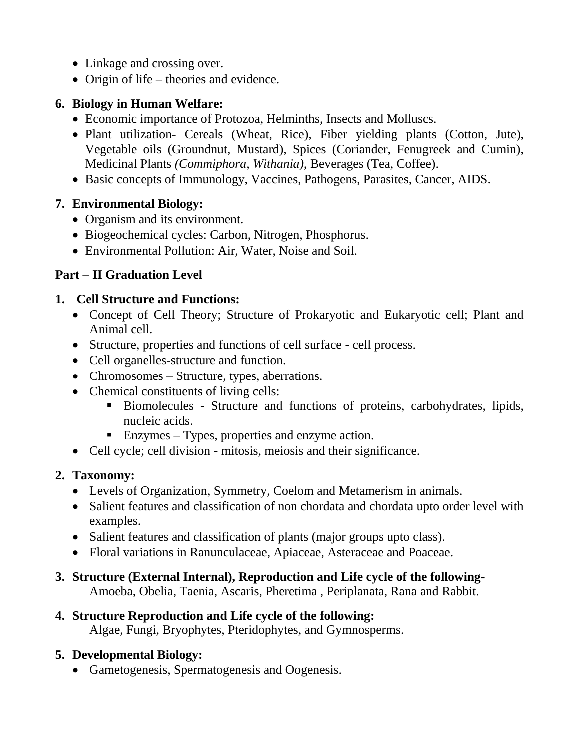- Linkage and crossing over.
- Origin of life theories and evidence.

## **6. Biology in Human Welfare:**

- Economic importance of Protozoa, Helminths, Insects and Molluscs.
- Plant utilization- Cereals (Wheat, Rice), Fiber yielding plants (Cotton, Jute), Vegetable oils (Groundnut, Mustard), Spices (Coriander, Fenugreek and Cumin), Medicinal Plants *(Commiphora, Withania),* Beverages (Tea, Coffee).
- Basic concepts of Immunology, Vaccines, Pathogens, Parasites, Cancer, AIDS.

## **7. Environmental Biology:**

- Organism and its environment.
- Biogeochemical cycles: Carbon, Nitrogen, Phosphorus.
- Environmental Pollution: Air, Water, Noise and Soil.

## **Part – II Graduation Level**

## **1. Cell Structure and Functions:**

- Concept of Cell Theory; Structure of Prokaryotic and Eukaryotic cell; Plant and Animal cell.
- Structure, properties and functions of cell surface cell process.
- Cell organelles-structure and function.
- Chromosomes Structure, types, aberrations.
- Chemical constituents of living cells:
	- Biomolecules Structure and functions of proteins, carbohydrates, lipids, nucleic acids.
	- Enzymes Types, properties and enzyme action.
- Cell cycle; cell division mitosis, meiosis and their significance.

## **2. Taxonomy:**

- Levels of Organization, Symmetry, Coelom and Metamerism in animals.
- Salient features and classification of non chordata and chordata upto order level with examples.
- Salient features and classification of plants (major groups upto class).
- Floral variations in Ranunculaceae, Apiaceae, Asteraceae and Poaceae.

## **3. Structure (External Internal), Reproduction and Life cycle of the following-**

Amoeba, Obelia, Taenia, Ascaris, Pheretima , Periplanata, Rana and Rabbit.

#### **4. Structure Reproduction and Life cycle of the following:**  Algae, Fungi, Bryophytes, Pteridophytes, and Gymnosperms.

## **5. Developmental Biology:**

Gametogenesis, Spermatogenesis and Oogenesis.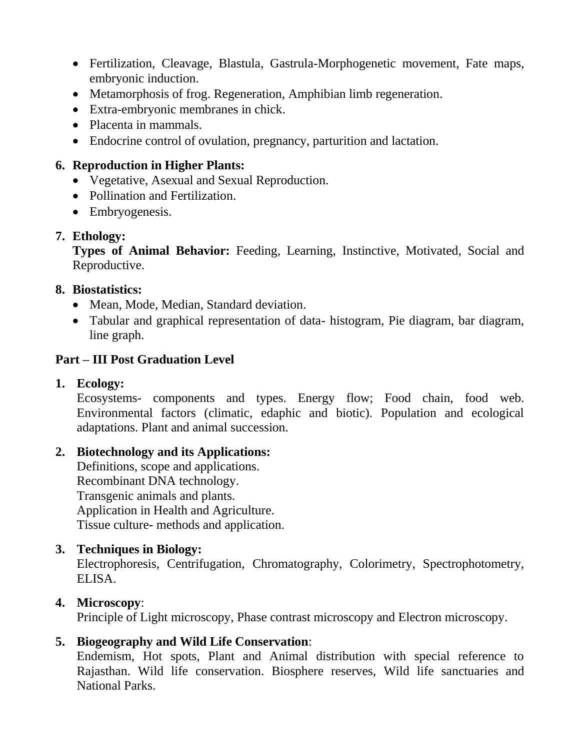- Fertilization, Cleavage, Blastula, Gastrula-Morphogenetic movement, Fate maps, embryonic induction.
- Metamorphosis of frog. Regeneration, Amphibian limb regeneration.
- Extra-embryonic membranes in chick.
- Placenta in mammals.
- Endocrine control of ovulation, pregnancy, parturition and lactation.

#### **6. Reproduction in Higher Plants:**

- Vegetative, Asexual and Sexual Reproduction.
- Pollination and Fertilization.
- Embryogenesis.

#### **7. Ethology:**

**Types of Animal Behavior:** Feeding, Learning, Instinctive, Motivated, Social and Reproductive.

#### **8. Biostatistics:**

- Mean, Mode, Median, Standard deviation.
- Tabular and graphical representation of data- histogram, Pie diagram, bar diagram, line graph.

## **Part – III Post Graduation Level**

#### **1. Ecology:**

Ecosystems- components and types. Energy flow; Food chain, food web. Environmental factors (climatic, edaphic and biotic). Population and ecological adaptations. Plant and animal succession.

## **2. Biotechnology and its Applications:**

Definitions, scope and applications. Recombinant DNA technology. Transgenic animals and plants. Application in Health and Agriculture. Tissue culture- methods and application.

## **3. Techniques in Biology:**

Electrophoresis, Centrifugation, Chromatography, Colorimetry, Spectrophotometry, ELISA.

## **4. Microscopy**:

Principle of Light microscopy, Phase contrast microscopy and Electron microscopy.

## **5. Biogeography and Wild Life Conservation**:

Endemism, Hot spots, Plant and Animal distribution with special reference to Rajasthan. Wild life conservation. Biosphere reserves, Wild life sanctuaries and National Parks.